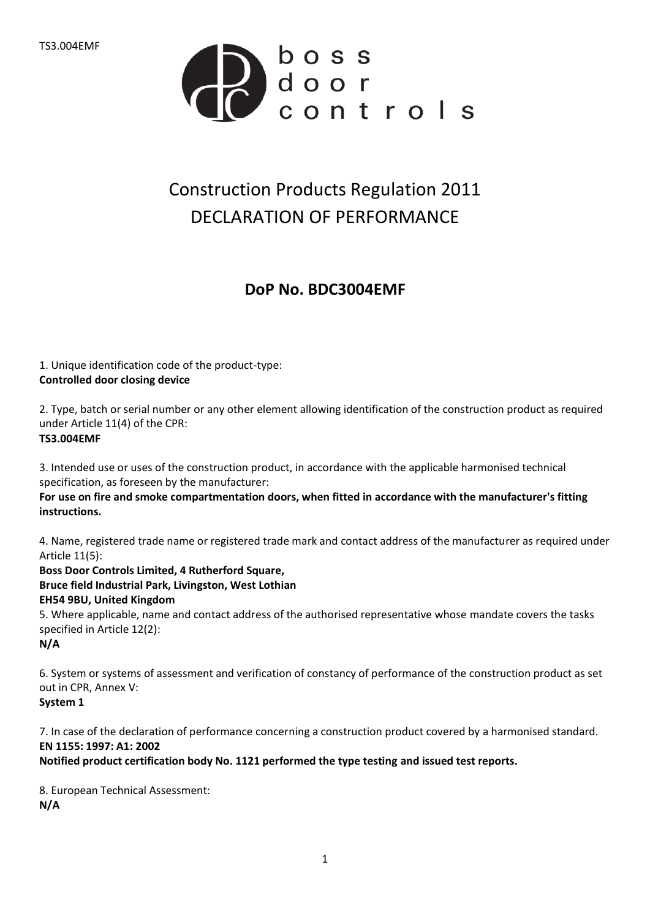

## Construction Products Regulation 2011 DECLARATION OF PERFORMANCE

## **DoP No. BDC3004EMF**

1. Unique identification code of the product-type: **Controlled door closing device**

2. Type, batch or serial number or any other element allowing identification of the construction product as required under Article 11(4) of the CPR: **TS3.004EMF**

3. Intended use or uses of the construction product, in accordance with the applicable harmonised technical specification, as foreseen by the manufacturer:

**For use on fire and smoke compartmentation doors, when fitted in accordance with the manufacturer's fitting instructions.**

4. Name, registered trade name or registered trade mark and contact address of the manufacturer as required under Article 11(5):

**Boss Door Controls Limited, 4 Rutherford Square, Bruce field Industrial Park, Livingston, West Lothian EH54 9BU, United Kingdom** 5. Where applicable, name and contact address of the authorised representative whose mandate covers the tasks specified in Article 12(2):

**N/A**

6. System or systems of assessment and verification of constancy of performance of the construction product as set out in CPR, Annex V:

**System 1**

7. In case of the declaration of performance concerning a construction product covered by a harmonised standard. **EN 1155: 1997: A1: 2002**

**Notified product certification body No. 1121 performed the type testing and issued test reports.**

8. European Technical Assessment: **N/A**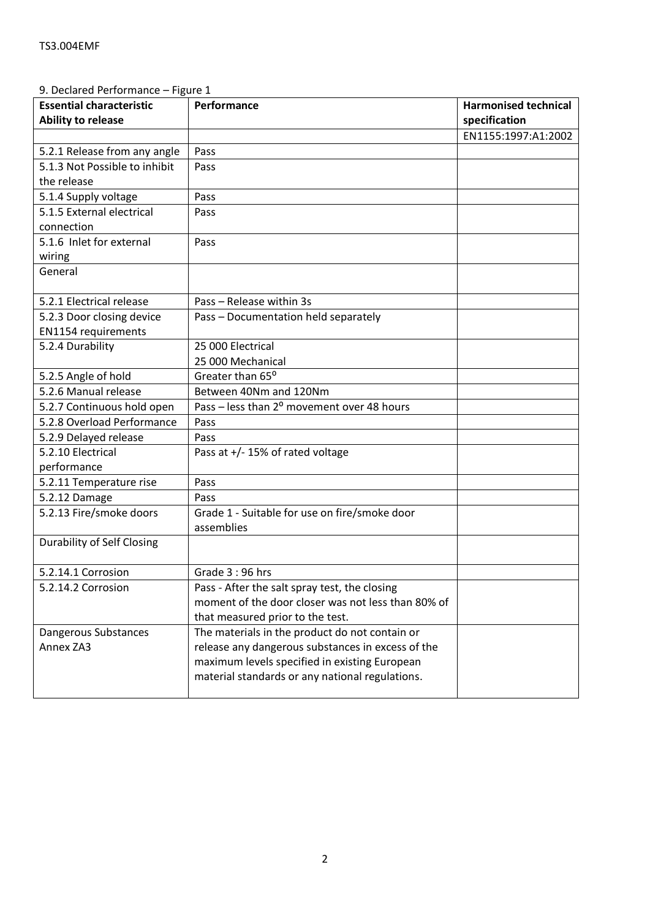| 9. Declared Performance – Figure 1 |                                                        |                             |
|------------------------------------|--------------------------------------------------------|-----------------------------|
| <b>Essential characteristic</b>    | Performance                                            | <b>Harmonised technical</b> |
| <b>Ability to release</b>          |                                                        | specification               |
|                                    |                                                        | EN1155:1997:A1:2002         |
| 5.2.1 Release from any angle       | Pass                                                   |                             |
| 5.1.3 Not Possible to inhibit      | Pass                                                   |                             |
| the release                        |                                                        |                             |
| 5.1.4 Supply voltage               | Pass                                                   |                             |
| 5.1.5 External electrical          | Pass                                                   |                             |
| connection                         |                                                        |                             |
| 5.1.6 Inlet for external           | Pass                                                   |                             |
| wiring                             |                                                        |                             |
| General                            |                                                        |                             |
|                                    |                                                        |                             |
| 5.2.1 Electrical release           | Pass - Release within 3s                               |                             |
| 5.2.3 Door closing device          | Pass - Documentation held separately                   |                             |
| EN1154 requirements                |                                                        |                             |
| 5.2.4 Durability                   | 25 000 Electrical                                      |                             |
|                                    | 25 000 Mechanical                                      |                             |
| 5.2.5 Angle of hold                | Greater than 65°                                       |                             |
| 5.2.6 Manual release               | Between 40Nm and 120Nm                                 |                             |
| 5.2.7 Continuous hold open         | Pass - less than 2 <sup>o</sup> movement over 48 hours |                             |
| 5.2.8 Overload Performance         | Pass                                                   |                             |
| 5.2.9 Delayed release              | Pass                                                   |                             |
| 5.2.10 Electrical                  | Pass at $+/-$ 15% of rated voltage                     |                             |
| performance                        |                                                        |                             |
| 5.2.11 Temperature rise            | Pass                                                   |                             |
| 5.2.12 Damage                      | Pass                                                   |                             |
| 5.2.13 Fire/smoke doors            | Grade 1 - Suitable for use on fire/smoke door          |                             |
|                                    | assemblies                                             |                             |
| <b>Durability of Self Closing</b>  |                                                        |                             |
| 5.2.14.1 Corrosion                 | Grade 3:96 hrs                                         |                             |
| 5.2.14.2 Corrosion                 | Pass - After the salt spray test, the closing          |                             |
|                                    | moment of the door closer was not less than 80% of     |                             |
|                                    | that measured prior to the test.                       |                             |
| Dangerous Substances               | The materials in the product do not contain or         |                             |
| Annex ZA3                          | release any dangerous substances in excess of the      |                             |
|                                    | maximum levels specified in existing European          |                             |
|                                    | material standards or any national regulations.        |                             |